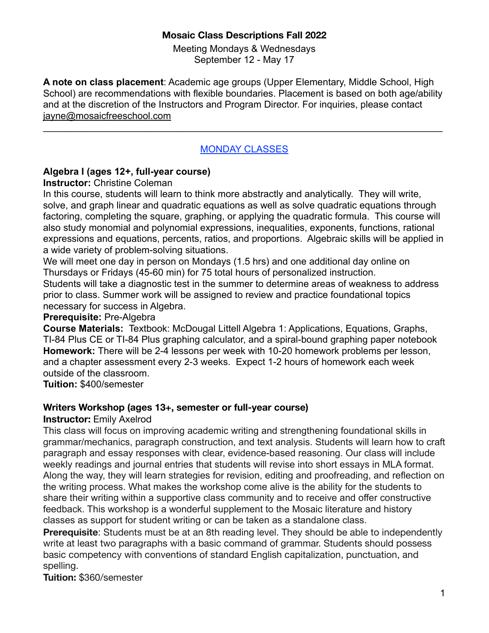### **Mosaic Class Descriptions Fall 2022**

Meeting Mondays & Wednesdays September 12 - May 17

**A note on class placement**: Academic age groups (Upper Elementary, Middle School, High School) are recommendations with flexible boundaries. Placement is based on both age/ability and at the discretion of the Instructors and Program Director. For inquiries, please contact [jayne@mosaicfreeschool.com](mailto:jayne@mosaicfreeschool.com)

### MONDAY CLASSES

 $\mathcal{L}_\text{max} = \mathcal{L}_\text{max} = \mathcal{L}_\text{max} = \mathcal{L}_\text{max} = \mathcal{L}_\text{max} = \mathcal{L}_\text{max} = \mathcal{L}_\text{max} = \mathcal{L}_\text{max} = \mathcal{L}_\text{max} = \mathcal{L}_\text{max} = \mathcal{L}_\text{max} = \mathcal{L}_\text{max} = \mathcal{L}_\text{max} = \mathcal{L}_\text{max} = \mathcal{L}_\text{max} = \mathcal{L}_\text{max} = \mathcal{L}_\text{max} = \mathcal{L}_\text{max} = \mathcal{$ 

### **Algebra I (ages 12+, full-year course)**

### **Instructor:** Christine Coleman

In this course, students will learn to think more abstractly and analytically. They will write, solve, and graph linear and quadratic equations as well as solve quadratic equations through factoring, completing the square, graphing, or applying the quadratic formula. This course will also study monomial and polynomial expressions, inequalities, exponents, functions, rational expressions and equations, percents, ratios, and proportions. Algebraic skills will be applied in a wide variety of problem-solving situations.

We will meet one day in person on Mondays (1.5 hrs) and one additional day online on Thursdays or Fridays (45-60 min) for 75 total hours of personalized instruction.

Students will take a diagnostic test in the summer to determine areas of weakness to address prior to class. Summer work will be assigned to review and practice foundational topics necessary for success in Algebra.

#### **Prerequisite:** Pre-Algebra

**Course Materials:** Textbook: McDougal Littell Algebra 1: Applications, Equations, Graphs, TI-84 Plus CE or TI-84 Plus graphing calculator, and a spiral-bound graphing paper notebook **Homework:** There will be 2-4 lessons per week with 10-20 homework problems per lesson, and a chapter assessment every 2-3 weeks. Expect 1-2 hours of homework each week outside of the classroom.

**Tuition:** \$400/semester

### **Writers Workshop (ages 13+, semester or full-year course)**

### **Instructor:** Emily Axelrod

This class will focus on improving academic writing and strengthening foundational skills in grammar/mechanics, paragraph construction, and text analysis. Students will learn how to craft paragraph and essay responses with clear, evidence-based reasoning. Our class will include weekly readings and journal entries that students will revise into short essays in MLA format. Along the way, they will learn strategies for revision, editing and proofreading, and reflection on the writing process. What makes the workshop come alive is the ability for the students to share their writing within a supportive class community and to receive and offer constructive feedback. This workshop is a wonderful supplement to the Mosaic literature and history classes as support for student writing or can be taken as a standalone class.

**Prerequisite**: Students must be at an 8th reading level. They should be able to independently write at least two paragraphs with a basic command of grammar. Students should possess basic competency with conventions of standard English capitalization, punctuation, and spelling.

**Tuition:** \$360/semester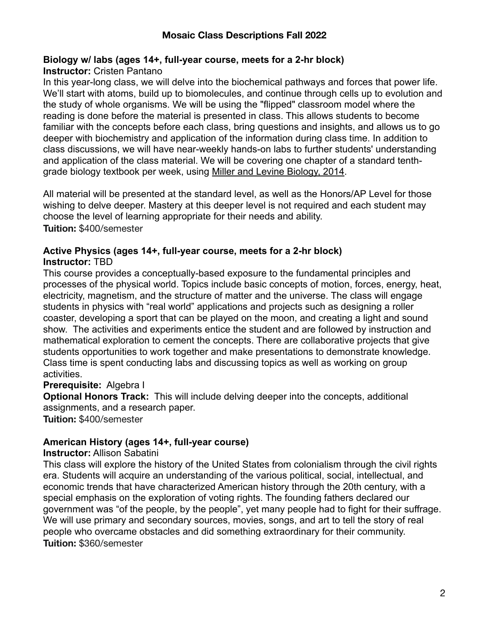# **Biology w/ labs (ages 14+, full-year course, meets for a 2-hr block)**

### **Instructor:** Cristen Pantano

In this year-long class, we will delve into the biochemical pathways and forces that power life. We'll start with atoms, build up to biomolecules, and continue through cells up to evolution and the study of whole organisms. We will be using the "flipped" classroom model where the reading is done before the material is presented in class. This allows students to become familiar with the concepts before each class, bring questions and insights, and allows us to go deeper with biochemistry and application of the information during class time. In addition to class discussions, we will have near-weekly hands-on labs to further students' understanding and application of the class material. We will be covering one chapter of a standard tenthgrade biology textbook per week, using [Miller and Levine Biology, 2014](https://www.amazon.com/MILLER-LEVINE-BIOLOGY-STUDENT-GRADE/dp/0133235742/ref=sr_1_2?dchild=1&keywords=miller+and+levine&qid=1597697125&sr=8-2).

All material will be presented at the standard level, as well as the Honors/AP Level for those wishing to delve deeper. Mastery at this deeper level is not required and each student may choose the level of learning appropriate for their needs and ability. **Tuition:** \$400/semester

#### **Active Physics (ages 14+, full-year course, meets for a 2-hr block) Instructor:** TBD

This course provides a conceptually-based exposure to the fundamental principles and processes of the physical world. Topics include basic concepts of motion, forces, energy, heat, electricity, magnetism, and the structure of matter and the universe. The class will engage students in physics with "real world" applications and projects such as designing a roller coaster, developing a sport that can be played on the moon, and creating a light and sound show. The activities and experiments entice the student and are followed by instruction and mathematical exploration to cement the concepts. There are collaborative projects that give students opportunities to work together and make presentations to demonstrate knowledge. Class time is spent conducting labs and discussing topics as well as working on group activities.

### **Prerequisite:** Algebra I

**Optional Honors Track:** This will include delving deeper into the concepts, additional assignments, and a research paper.

**Tuition:** \$400/semester

# **American History (ages 14+, full-year course)**

### **Instructor:** Allison Sabatini

This class will explore the history of the United States from colonialism through the civil rights era. Students will acquire an understanding of the various political, social, intellectual, and economic trends that have characterized American history through the 20th century, with a special emphasis on the exploration of voting rights. The founding fathers declared our government was "of the people, by the people", yet many people had to fight for their suffrage. We will use primary and secondary sources, movies, songs, and art to tell the story of real people who overcame obstacles and did something extraordinary for their community. **Tuition:** \$360/semester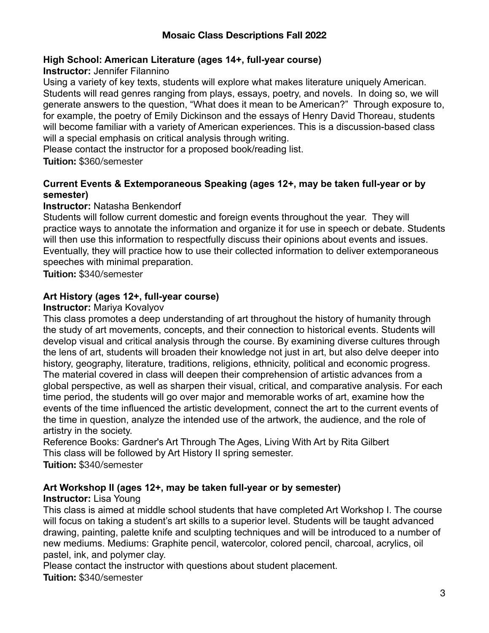# **High School: American Literature (ages 14+, full-year course)**

### **Instructor:** Jennifer Filannino

Using a variety of key texts, students will explore what makes literature uniquely American. Students will read genres ranging from plays, essays, poetry, and novels. In doing so, we will generate answers to the question, "What does it mean to be American?" Through exposure to, for example, the poetry of Emily Dickinson and the essays of Henry David Thoreau, students will become familiar with a variety of American experiences. This is a discussion-based class will a special emphasis on critical analysis through writing.

Please contact the instructor for a proposed book/reading list.

**Tuition:** \$360/semester

# **Current Events & Extemporaneous Speaking (ages 12+, may be taken full-year or by semester)**

# **Instructor:** Natasha Benkendorf

Students will follow current domestic and foreign events throughout the year. They will practice ways to annotate the information and organize it for use in speech or debate. Students will then use this information to respectfully discuss their opinions about events and issues. Eventually, they will practice how to use their collected information to deliver extemporaneous speeches with minimal preparation.

**Tuition:** \$340/semester

# **Art History (ages 12+, full-year course)**

### **Instructor:** Mariya Kovalyov

This class promotes a deep understanding of art throughout the history of humanity through the study of art movements, concepts, and their connection to historical events. Students will develop visual and critical analysis through the course. By examining diverse cultures through the lens of art, students will broaden their knowledge not just in art, but also delve deeper into history, geography, literature, traditions, religions, ethnicity, political and economic progress. The material covered in class will deepen their comprehension of artistic advances from a global perspective, as well as sharpen their visual, critical, and comparative analysis. For each time period, the students will go over major and memorable works of art, examine how the events of the time influenced the artistic development, connect the art to the current events of the time in question, analyze the intended use of the artwork, the audience, and the role of artistry in the society.

Reference Books: Gardner's Art Through The Ages, Living With Art by Rita Gilbert This class will be followed by Art History II spring semester. **Tuition:** \$340/semester

# **Art Workshop II (ages 12+, may be taken full-year or by semester)**

# **Instructor:** Lisa Young

This class is aimed at middle school students that have completed Art Workshop I. The course will focus on taking a student's art skills to a superior level. Students will be taught advanced drawing, painting, palette knife and sculpting techniques and will be introduced to a number of new mediums. Mediums: Graphite pencil, watercolor, colored pencil, charcoal, acrylics, oil pastel, ink, and polymer clay.

Please contact the instructor with questions about student placement. **Tuition:** \$340/semester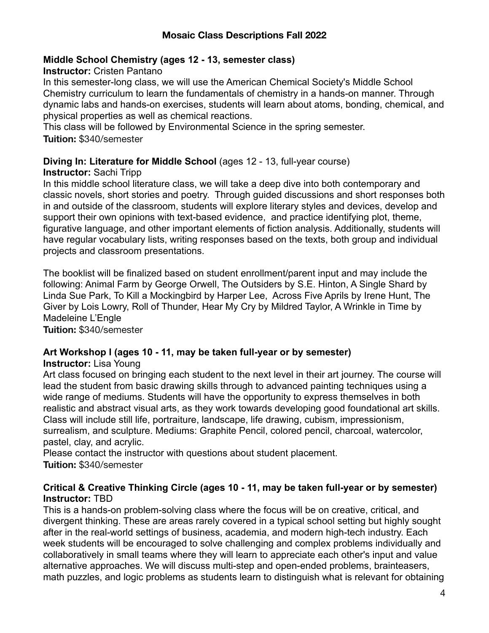### **Middle School Chemistry (ages 12 - 13, semester class)**

#### **Instructor:** Cristen Pantano

In this semester-long class, we will use the American Chemical Society's Middle School Chemistry curriculum to learn the fundamentals of chemistry in a hands-on manner. Through dynamic labs and hands-on exercises, students will learn about atoms, bonding, chemical, and physical properties as well as chemical reactions.

This class will be followed by Environmental Science in the spring semester.

**Tuition:** \$340/semester

#### **Diving In: Literature for Middle School** (ages 12 - 13, full-year course) **Instructor:** Sachi Tripp

In this middle school literature class, we will take a deep dive into both contemporary and classic novels, short stories and poetry. Through guided discussions and short responses both in and outside of the classroom, students will explore literary styles and devices, develop and support their own opinions with text-based evidence, and practice identifying plot, theme, figurative language, and other important elements of fiction analysis. Additionally, students will have regular vocabulary lists, writing responses based on the texts, both group and individual projects and classroom presentations.

The booklist will be finalized based on student enrollment/parent input and may include the following: Animal Farm by George Orwell, The Outsiders by S.E. Hinton, A Single Shard by Linda Sue Park, To Kill a Mockingbird by Harper Lee, Across Five Aprils by Irene Hunt, The Giver by Lois Lowry, Roll of Thunder, Hear My Cry by Mildred Taylor, A Wrinkle in Time by Madeleine L'Engle

**Tuition:** \$340/semester

# **Art Workshop I (ages 10 - 11, may be taken full-year or by semester)**

### **Instructor:** Lisa Young

Art class focused on bringing each student to the next level in their art journey. The course will lead the student from basic drawing skills through to advanced painting techniques using a wide range of mediums. Students will have the opportunity to express themselves in both realistic and abstract visual arts, as they work towards developing good foundational art skills. Class will include still life, portraiture, landscape, life drawing, cubism, impressionism, surrealism, and sculpture. Mediums: Graphite Pencil, colored pencil, charcoal, watercolor, pastel, clay, and acrylic.

Please contact the instructor with questions about student placement. **Tuition:** \$340/semester

#### **Critical & Creative Thinking Circle (ages 10 - 11, may be taken full-year or by semester) Instructor:** TBD

This is a hands-on problem-solving class where the focus will be on creative, critical, and divergent thinking. These are areas rarely covered in a typical school setting but highly sought after in the real-world settings of business, academia, and modern high-tech industry. Each week students will be encouraged to solve challenging and complex problems individually and collaboratively in small teams where they will learn to appreciate each other's input and value alternative approaches. We will discuss multi-step and open-ended problems, brainteasers, math puzzles, and logic problems as students learn to distinguish what is relevant for obtaining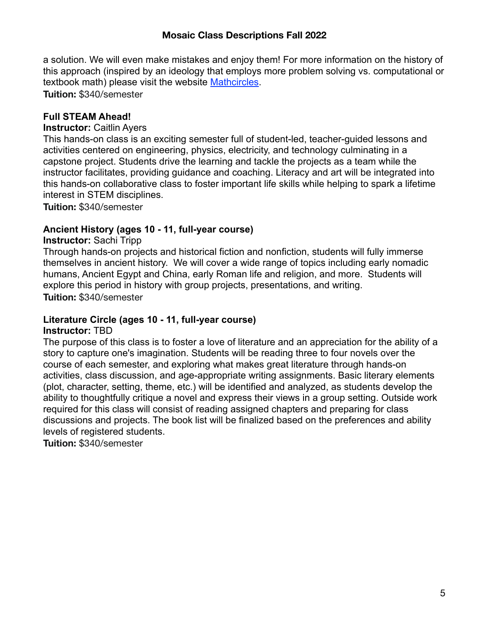#### **Mosaic Class Descriptions Fall 2022**

a solution. We will even make mistakes and enjoy them! For more information on the history of this approach (inspired by an ideology that employs more problem solving vs. computational or textbook math) please visit the website [Mathcircles](https://mathcircles.org/). **Tuition:** \$340/semester

### **Full STEAM Ahead!**

#### **Instructor:** Caitlin Ayers

This hands-on class is an exciting semester full of student-led, teacher-guided lessons and activities centered on engineering, physics, electricity, and technology culminating in a capstone project. Students drive the learning and tackle the projects as a team while the instructor facilitates, providing guidance and coaching. Literacy and art will be integrated into this hands-on collaborative class to foster important life skills while helping to spark a lifetime interest in STEM disciplines.

**Tuition:** \$340/semester

#### **Ancient History (ages 10 - 11, full-year course)**

#### **Instructor:** Sachi Tripp

Through hands-on projects and historical fiction and nonfiction, students will fully immerse themselves in ancient history. We will cover a wide range of topics including early nomadic humans, Ancient Egypt and China, early Roman life and religion, and more. Students will explore this period in history with group projects, presentations, and writing. **Tuition:** \$340/semester

#### **Literature Circle (ages 10 - 11, full-year course)**

#### **Instructor:** TBD

The purpose of this class is to foster a love of literature and an appreciation for the ability of a story to capture one's imagination. Students will be reading three to four novels over the course of each semester, and exploring what makes great literature through hands-on activities, class discussion, and age-appropriate writing assignments. Basic literary elements (plot, character, setting, theme, etc.) will be identified and analyzed, as students develop the ability to thoughtfully critique a novel and express their views in a group setting. Outside work required for this class will consist of reading assigned chapters and preparing for class discussions and projects. The book list will be finalized based on the preferences and ability levels of registered students.

**Tuition:** \$340/semester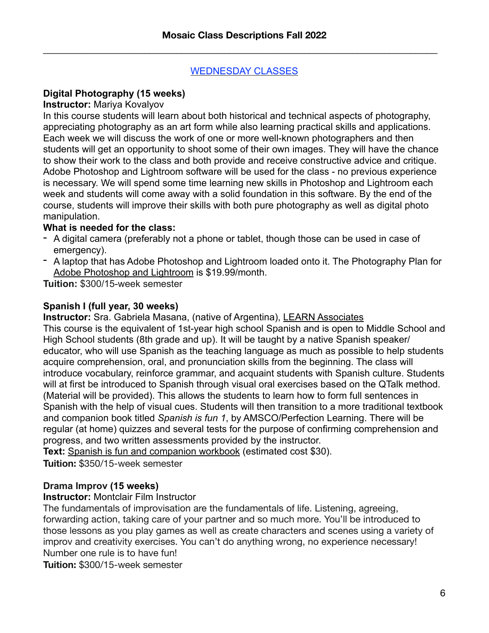$\mathcal{L}_\text{max}$  and  $\mathcal{L}_\text{max}$  and  $\mathcal{L}_\text{max}$  and  $\mathcal{L}_\text{max}$  and  $\mathcal{L}_\text{max}$  and  $\mathcal{L}_\text{max}$ 

### WEDNESDAY CLASSES

# **Digital Photography (15 weeks)**

#### **Instructor:** Mariya Kovalyov

In this course students will learn about both historical and technical aspects of photography, appreciating photography as an art form while also learning practical skills and applications. Each week we will discuss the work of one or more well-known photographers and then students will get an opportunity to shoot some of their own images. They will have the chance to show their work to the class and both provide and receive constructive advice and critique. Adobe Photoshop and Lightroom software will be used for the class - no previous experience is necessary. We will spend some time learning new skills in Photoshop and Lightroom each week and students will come away with a solid foundation in this software. By the end of the course, students will improve their skills with both pure photography as well as digital photo manipulation.

### **What is needed for the class:**

- A digital camera (preferably not a phone or tablet, though those can be used in case of emergency).
- A laptop that has Adobe Photoshop and Lightroom loaded onto it. The Photography Plan for [Adobe Photoshop and Lightroom](https://www.adobe.com/products/photoshop/compare-plans.html) is \$19.99/month.

**Tuition:** \$300/15-week semester

### **Spanish I (full year, 30 weeks)**

**Instructor:** Sra. Gabriela Masana, (native of Argentina), [LEARN Associates](http://learnassociates.com/)

This course is the equivalent of 1st-year high school Spanish and is open to Middle School and High School students (8th grade and up). It will be taught by a native Spanish speaker/ educator, who will use Spanish as the teaching language as much as possible to help students acquire comprehension, oral, and pronunciation skills from the beginning. The class will introduce vocabulary, reinforce grammar, and acquaint students with Spanish culture. Students will at first be introduced to Spanish through visual oral exercises based on the QTalk method. (Material will be provided). This allows the students to learn how to form full sentences in Spanish with the help of visual cues. Students will then transition to a more traditional textbook and companion book titled *Spanish is fun 1*, by AMSCO/Perfection Learning. There will be regular (at home) quizzes and several tests for the purpose of confirming comprehension and progress, and two written assessments provided by the instructor.

**Text:** [Spanish is fun and companion workbook](https://www.perfectionlearning.com/series/spanish-is-fun.html) (estimated cost \$30).

**Tuition:** \$350/15-week semester

# **Drama Improv (15 weeks)**

**Instructor:** Montclair Film Instructor

The fundamentals of improvisation are the fundamentals of life. Listening, agreeing, forwarding action, taking care of your partner and so much more. You'll be introduced to those lessons as you play games as well as create characters and scenes using a variety of improv and creativity exercises. You can't do anything wrong, no experience necessary! Number one rule is to have fun!

**Tuition:** \$300/15-week semester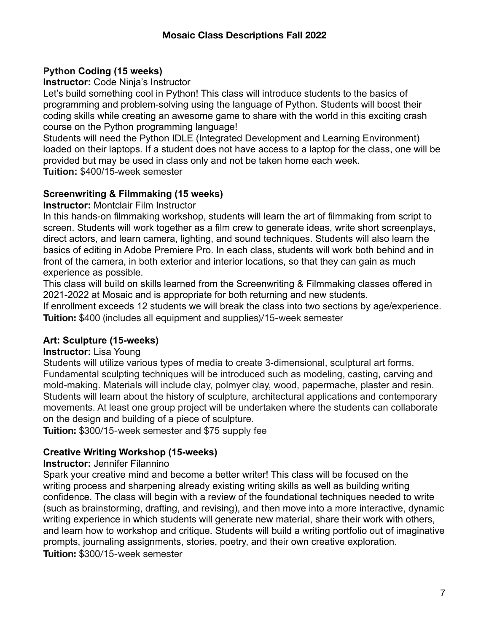# **Python Coding (15 weeks)**

**Instructor:** Code Ninja's Instructor

Let's build something cool in Python! This class will introduce students to the basics of programming and problem-solving using the language of Python. Students will boost their coding skills while creating an awesome game to share with the world in this exciting crash course on the Python programming language!

Students will need the Python IDLE (Integrated Development and Learning Environment) loaded on their laptops. If a student does not have access to a laptop for the class, one will be provided but may be used in class only and not be taken home each week. **Tuition:** \$400/15-week semester

# **Screenwriting & Filmmaking (15 weeks)**

**Instructor:** Montclair Film Instructor

In this hands-on filmmaking workshop, students will learn the art of filmmaking from script to screen. Students will work together as a film crew to generate ideas, write short screenplays, direct actors, and learn camera, lighting, and sound techniques. Students will also learn the basics of editing in Adobe Premiere Pro. In each class, students will work both behind and in front of the camera, in both exterior and interior locations, so that they can gain as much experience as possible.

This class will build on skills learned from the Screenwriting & Filmmaking classes offered in 2021-2022 at Mosaic and is appropriate for both returning and new students.

If enrollment exceeds 12 students we will break the class into two sections by age/experience. **Tuition:** \$400 (includes all equipment and supplies)/15-week semester

# **Art: Sculpture (15-weeks)**

# **Instructor:** Lisa Young

Students will utilize various types of media to create 3-dimensional, sculptural art forms. Fundamental sculpting techniques will be introduced such as modeling, casting, carving and mold-making. Materials will include clay, polmyer clay, wood, papermache, plaster and resin. Students will learn about the history of sculpture, architectural applications and contemporary movements. At least one group project will be undertaken where the students can collaborate on the design and building of a piece of sculpture.

**Tuition:** \$300/15-week semester and \$75 supply fee

# **Creative Writing Workshop (15-weeks)**

# **Instructor:** Jennifer Filannino

Spark your creative mind and become a better writer! This class will be focused on the writing process and sharpening already existing writing skills as well as building writing confidence. The class will begin with a review of the foundational techniques needed to write (such as brainstorming, drafting, and revising), and then move into a more interactive, dynamic writing experience in which students will generate new material, share their work with others, and learn how to workshop and critique. Students will build a writing portfolio out of imaginative prompts, journaling assignments, stories, poetry, and their own creative exploration. **Tuition:** \$300/15-week semester